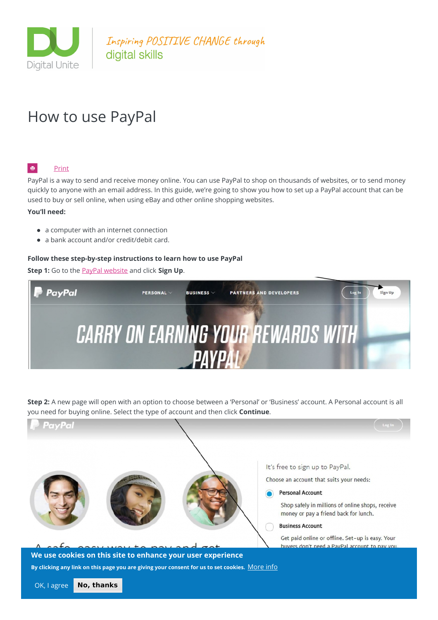

Inspiring POSITIVE CHANGE through digital skills

# How to use PayPal

#### l e l [Print](javascript:void(0);)

PayPal is a way to send and receive money online. You can use PayPal to shop on thousands of websites, or to send money quickly to anyone with an email address. In this guide, we're going to show you how to set up a PayPal account that can be used to buy or sell online, when using eBay and other online shopping websites.

#### **You'll need:**

- a computer with an internet connection
- a bank account and/or credit/debit card.

#### **Follow these step-by-step instructions to learn how to use PayPal**

**Step 1:** Go to the PayPal [website](https://www.paypal.com/uk/webapps/mpp/home) and click **Sign Up**.



**Step 2:** A new page will open with an option to choose between a 'Personal' or 'Business' account. A Personal account is all you need for buying online. Select the type of account and then click **Continue**.

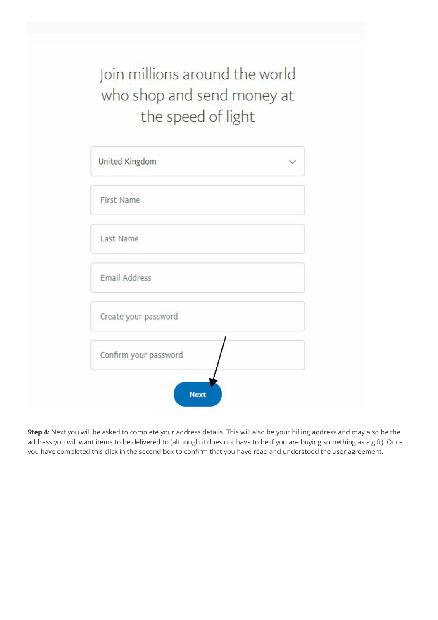Join millions around the world who shop and send money at the speed of light

| United Kingdom        |  |
|-----------------------|--|
| First Name            |  |
| Last Name             |  |
| <b>Email Address</b>  |  |
| Create your password  |  |
| Confirm your password |  |

**Step 4:** Next you will be asked to complete your address details. This will also be your billing address and may also be the address you will want items to be delivered to (although it does not have to be if you are buying something as a gift). Once you have completed this click in the second box to confirm that you have read and understood the user agreement.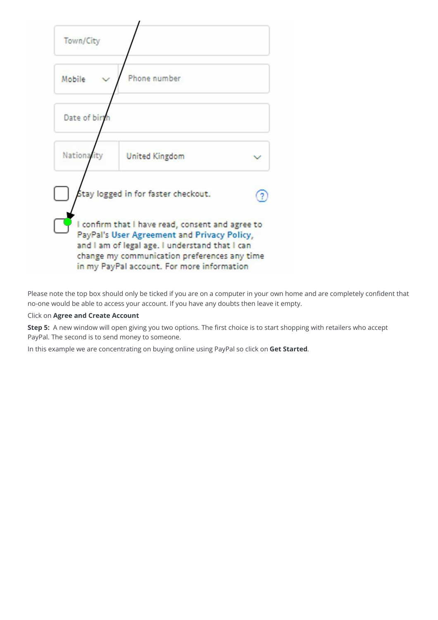

Please note the top box should only be ticked if you are on a computer in your own home and are completely confident that no-one would be able to access your account. If you have any doubts then leave it empty.

#### Click on **Agree and Create Account**

**Step 5:** A new window will open giving you two options. The first choice is to start shopping with retailers who accept PayPal. The second is to send money to someone.

In this example we are concentrating on buying online using PayPal so click on **Get Started**.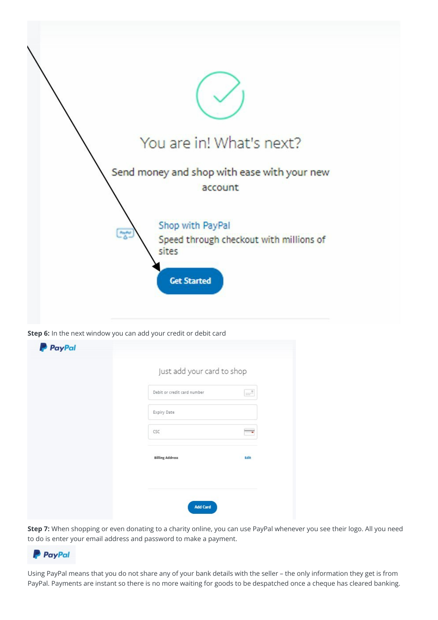

**Step 6:** In the next window you can add your credit or debit card

| Just add your card to shop  |                |
|-----------------------------|----------------|
| Debit or credit card number | $\mathbb{H}^3$ |
| Expiry Date                 |                |
| CSC                         | . .            |
| <b>Billing Address</b>      | Edit           |
|                             |                |

**Step 7:** When shopping or even donating to a charity online, you can use PayPal whenever you see their logo. All you need to do is enter your email address and password to make a payment.



Using PayPal means that you do not share any of your bank details with the seller – the only information they get is from PayPal. Payments are instant so there is no more waiting for goods to be despatched once a cheque has cleared banking.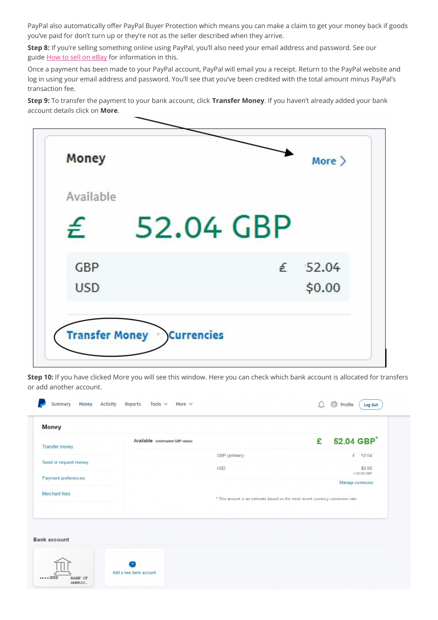PayPal also automatically offer PayPal Buyer Protection which means you can make a claim to get your money back if goods you've paid for don't turn up or they're not as the seller described when they arrive.

**Step 8:** If you're selling something online using PayPal, you'll also need your email address and password. See our guide How to sell on [eBay](http://digitalunite.com/guides/shopping-banking/making-money-online/how-sell-on-ebay) for information in this.

Once a payment has been made to your PayPal account, PayPal will email you a receipt. Return to the PayPal website and log in using your email address and password. You'll see that you've been credited with the total amount minus PayPal's transaction fee.

**Step 9:** To transfer the payment to your bank account, click **Transfer Money**. If you haven't already added your bank account details click on **More**.



**Step 10:** If you have clicked More you will see this window. Here you can check which bank account is allocated for transfers or add another account.

| <b>Transfer money</b> | Available (estimated GBP value) |                                                                                 | £ 52.04 GBP*            |  |
|-----------------------|---------------------------------|---------------------------------------------------------------------------------|-------------------------|--|
|                       |                                 | GBP (primary)                                                                   | £ 52.04                 |  |
| Send or request money |                                 | <b>USD</b>                                                                      | \$0.00<br>$=$ £0.00 GBP |  |
| Payment preferences   |                                 |                                                                                 | Manage currencies       |  |
| Merchant fees         |                                 | * This amount is an estimate based on the most recent currency conversion rate. |                         |  |
|                       |                                 |                                                                                 |                         |  |
|                       |                                 |                                                                                 |                         |  |
| <b>Bank account</b>   |                                 |                                                                                 |                         |  |
|                       |                                 |                                                                                 |                         |  |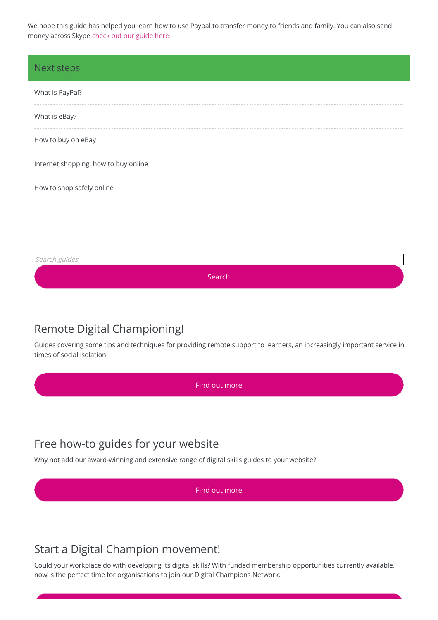We hope this guide has helped you learn how to use Paypal to transfer money to friends and family. You can also send money across Skype [check](https://www.digitalunite.com/guides/email-skype/skype/how-call-friends-and-family-on-skype-using-iphone) out our guide here.

#### Next steps

| What is PayPal?                      |
|--------------------------------------|
| What is eBay?                        |
| How to buy on eBay                   |
| Internet shopping: how to buy online |
| How to shop safely online            |

Search guides

Search

# Remote Digital Championing!

Guides covering some tips and techniques for providing remote support to learners, an increasingly important service in times of social isolation.

Find out [more](https://www.digitalunite.com/news-reviews/covid-19-how-help-others-remote-digital-champion)

# Free how-to guides for your website

Why not add our award-winning and extensive range of digital skills guides to your website?

Find out [more](https://digitalunite.com/digital-unites-guides-your-website-0)

# Start a Digital Champion movement!

Could your workplace do with developing its digital skills? With funded membership opportunities currently available, now is the perfect time for organisations to join our Digital Champions Network.